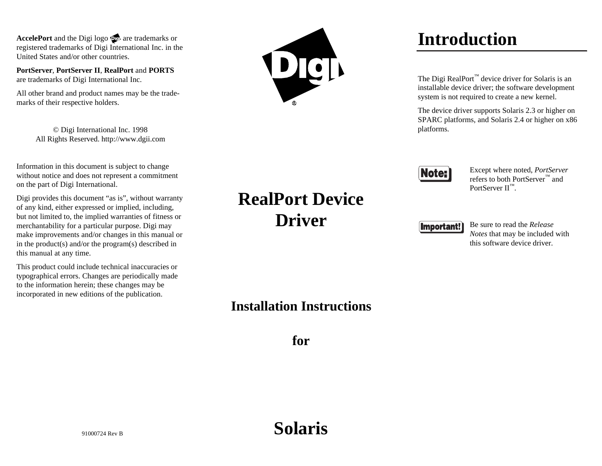AccelePort and the Digi logo **producer** are trademarks or registered trademarks of Digi International Inc. in the United States and/or other countries.

**PortServer**, **PortServer II**, **RealPort** and **PORTS** are trademarks of Digi International Inc.

All other brand and product names may be the trademarks of their respective holders.

> © Digi International Inc. 1998 All Rights Reserved. http://www.dgii.com

Information in this document is subject to change without notice and does not represent a commitment on the part of Digi International.

Digi provides this document "as is", without warranty of any kind, either expressed or implied, including, but not limited to, the implied warranties of fitness or merchantability for a particular purpose. Digi may make improvements and/or changes in this manual or in the product(s) and/or the program(s) described in this manual at any time.

This product could include technical inaccuracies or typographical errors. Changes are periodically made to the information herein; these changes may be incorporated in new editions of the publication.



# **Introduction**

The Digi RealPort™ device driver for Solaris is an installable device driver; the software development system is not required to create a new kernel.

The device driver supports Solaris 2.3 or higher on SPARC platforms, and Solaris 2.4 or higher on x86 platforms.



Except where noted, *PortServer* refers to both PortServer™ andPortServer  $II^M$ .

#### **Important!**

Be sure to read the *ReleaseNotes* that may be included with this software device driver.

### **Installation Instructions**

**RealPort Device**

**Driver**

**for**